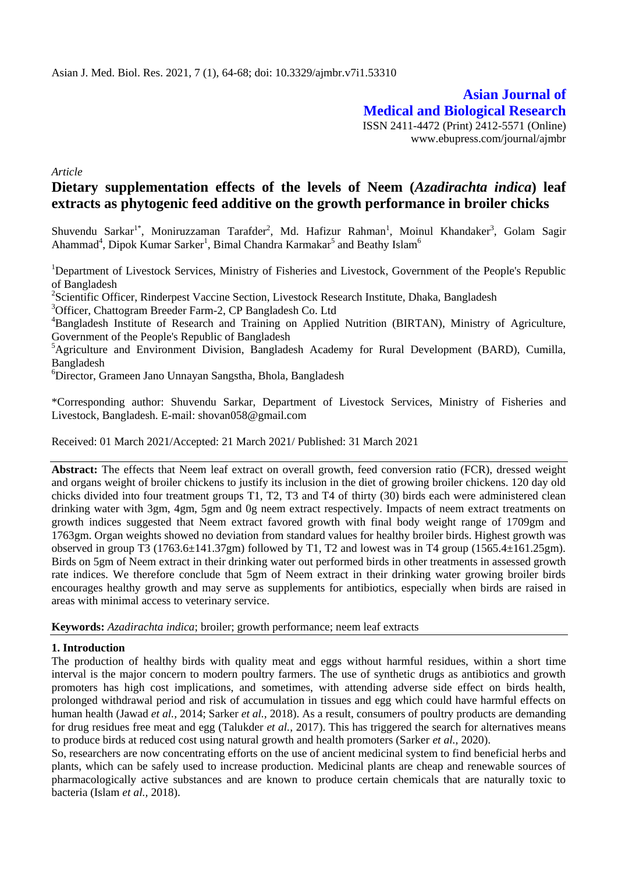**Asian Journal of Medical and Biological Research** ISSN 2411-4472 (Print) 2412-5571 (Online) www.ebupress.com/journal/ajmbr

*Article*

# **Dietary supplementation effects of the levels of Neem (***Azadirachta indica***) leaf extracts as phytogenic feed additive on the growth performance in broiler chicks**

Shuvendu Sarkar<sup>1\*</sup>, Moniruzzaman Tarafder<sup>2</sup>, Md. Hafizur Rahman<sup>1</sup>, Moinul Khandaker<sup>3</sup>, Golam Sagir Ahammad<sup>4</sup>, Dipok Kumar Sarker<sup>1</sup>, Bimal Chandra Karmakar<sup>5</sup> and Beathy Islam<sup>6</sup>

<sup>1</sup>Department of Livestock Services, Ministry of Fisheries and Livestock, Government of the People's Republic of Bangladesh

<sup>2</sup>Scientific Officer, Rinderpest Vaccine Section, Livestock Research Institute, Dhaka, Bangladesh

<sup>3</sup>Officer, Chattogram Breeder Farm-2, CP Bangladesh Co. Ltd

<sup>4</sup>Bangladesh Institute of Research and Training on Applied Nutrition (BIRTAN), Ministry of Agriculture, Government of the People's Republic of Bangladesh

<sup>5</sup>Agriculture and Environment Division, Bangladesh Academy for Rural Development (BARD), Cumilla, Bangladesh

<sup>6</sup>Director, Grameen Jano Unnayan Sangstha, Bhola, Bangladesh

\*Corresponding author: Shuvendu Sarkar, Department of Livestock Services, Ministry of Fisheries and Livestock, Bangladesh. E-mail: shovan058@gmail.com

Received: 01 March 2021/Accepted: 21 March 2021/ Published: 31 March 2021

**Abstract:** The effects that Neem leaf extract on overall growth, feed conversion ratio (FCR), dressed weight and organs weight of broiler chickens to justify its inclusion in the diet of growing broiler chickens. 120 day old chicks divided into four treatment groups T1, T2, T3 and T4 of thirty (30) birds each were administered clean drinking water with 3gm, 4gm, 5gm and 0g neem extract respectively. Impacts of neem extract treatments on growth indices suggested that Neem extract favored growth with final body weight range of 1709gm and 1763gm. Organ weights showed no deviation from standard values for healthy broiler birds. Highest growth was observed in group T3 (1763.6±141.37gm) followed by T1, T2 and lowest was in T4 group (1565.4±161.25gm). Birds on 5gm of Neem extract in their drinking water out performed birds in other treatments in assessed growth rate indices. We therefore conclude that 5gm of Neem extract in their drinking water growing broiler birds encourages healthy growth and may serve as supplements for antibiotics, especially when birds are raised in areas with minimal access to veterinary service.

**Keywords:** *Azadirachta indica*; broiler; growth performance; neem leaf extracts

## **1. Introduction**

The production of healthy birds with quality meat and eggs without harmful residues, within a short time interval is the major concern to modern poultry farmers. The use of synthetic drugs as antibiotics and growth promoters has high cost implications, and sometimes, with attending adverse side effect on birds health, prolonged withdrawal period and risk of accumulation in tissues and egg which could have harmful effects on human health (Jawad *et al.,* 2014; Sarker *et al.,* 2018). As a result, consumers of poultry products are demanding for drug residues free meat and egg (Talukder *et al.,* 2017). This has triggered the search for alternatives means to produce birds at reduced cost using natural growth and health promoters (Sarker *et al.,* 2020).

So, researchers are now concentrating efforts on the use of ancient medicinal system to find beneficial herbs and plants, which can be safely used to increase production. Medicinal plants are cheap and renewable sources of pharmacologically active substances and are known to produce certain chemicals that are naturally toxic to bacteria (Islam *et al.,* 2018).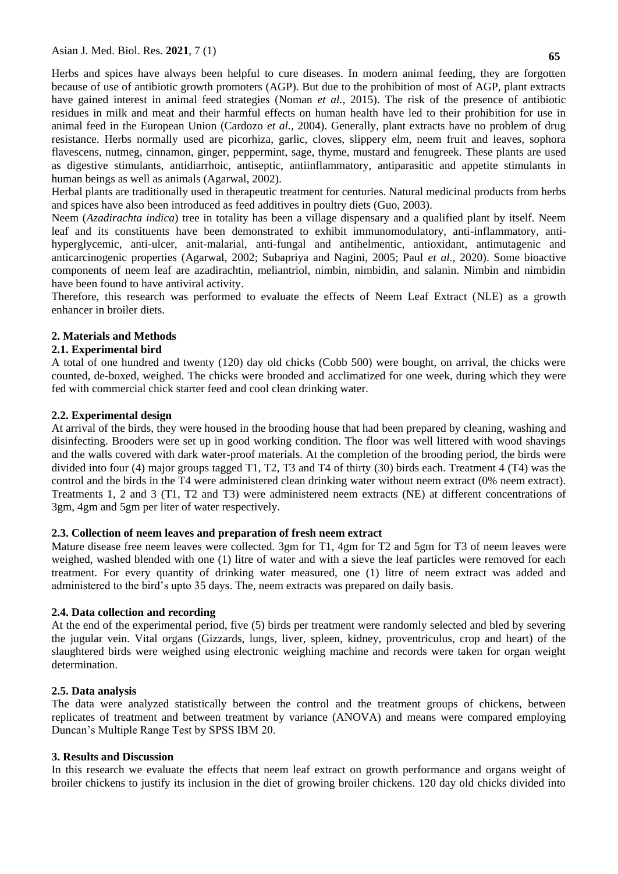Herbs and spices have always been helpful to cure diseases. In modern animal feeding, they are forgotten because of use of antibiotic growth promoters (AGP). But due to the prohibition of most of AGP, plant extracts have gained interest in animal feed strategies (Noman *et al.,* 2015). The risk of the presence of antibiotic residues in milk and meat and their harmful effects on human health have led to their prohibition for use in animal feed in the European Union (Cardozo *et al.,* 2004). Generally, plant extracts have no problem of drug resistance. Herbs normally used are picorhiza, garlic, cloves, slippery elm, neem fruit and leaves, sophora flavescens, nutmeg, cinnamon, ginger, peppermint, sage, thyme, mustard and fenugreek. These plants are used as digestive stimulants, antidiarrhoic, antiseptic, antiinflammatory, antiparasitic and appetite stimulants in human beings as well as animals (Agarwal, 2002).

Herbal plants are traditionally used in therapeutic treatment for centuries. Natural medicinal products from herbs and spices have also been introduced as feed additives in poultry diets (Guo, 2003).

Neem (*Azadirachta indica*) tree in totality has been a village dispensary and a qualified plant by itself. Neem leaf and its constituents have been demonstrated to exhibit immunomodulatory, anti-inflammatory, antihyperglycemic, anti-ulcer, anit-malarial, anti-fungal and antihelmentic, antioxidant, antimutagenic and anticarcinogenic properties (Agarwal, 2002; Subapriya and Nagini, 2005; Paul *et al.,* 2020). Some bioactive components of neem leaf are azadirachtin, meliantriol, nimbin, nimbidin, and salanin. Nimbin and nimbidin have been found to have antiviral activity.

Therefore, this research was performed to evaluate the effects of Neem Leaf Extract (NLE) as a growth enhancer in broiler diets.

## **2. Materials and Methods**

## **2.1. Experimental bird**

A total of one hundred and twenty (120) day old chicks (Cobb 500) were bought, on arrival, the chicks were counted, de-boxed, weighed. The chicks were brooded and acclimatized for one week, during which they were fed with commercial chick starter feed and cool clean drinking water.

## **2.2. Experimental design**

At arrival of the birds, they were housed in the brooding house that had been prepared by cleaning, washing and disinfecting. Brooders were set up in good working condition. The floor was well littered with wood shavings and the walls covered with dark water-proof materials. At the completion of the brooding period, the birds were divided into four (4) major groups tagged T1, T2, T3 and T4 of thirty (30) birds each. Treatment 4 (T4) was the control and the birds in the T4 were administered clean drinking water without neem extract (0% neem extract). Treatments 1, 2 and 3 (T1, T2 and T3) were administered neem extracts (NE) at different concentrations of 3gm, 4gm and 5gm per liter of water respectively.

#### **2.3. Collection of neem leaves and preparation of fresh neem extract**

Mature disease free neem leaves were collected. 3gm for T1, 4gm for T2 and 5gm for T3 of neem leaves were weighed, washed blended with one (1) litre of water and with a sieve the leaf particles were removed for each treatment. For every quantity of drinking water measured, one (1) litre of neem extract was added and administered to the bird's upto 35 days. The, neem extracts was prepared on daily basis.

## **2.4. Data collection and recording**

At the end of the experimental period, five (5) birds per treatment were randomly selected and bled by severing the jugular vein. Vital organs (Gizzards, lungs, liver, spleen, kidney, proventriculus, crop and heart) of the slaughtered birds were weighed using electronic weighing machine and records were taken for organ weight determination.

#### **2.5. Data analysis**

The data were analyzed statistically between the control and the treatment groups of chickens, between replicates of treatment and between treatment by variance (ANOVA) and means were compared employing Duncan's Multiple Range Test by SPSS IBM 20.

#### **3. Results and Discussion**

In this research we evaluate the effects that neem leaf extract on growth performance and organs weight of broiler chickens to justify its inclusion in the diet of growing broiler chickens. 120 day old chicks divided into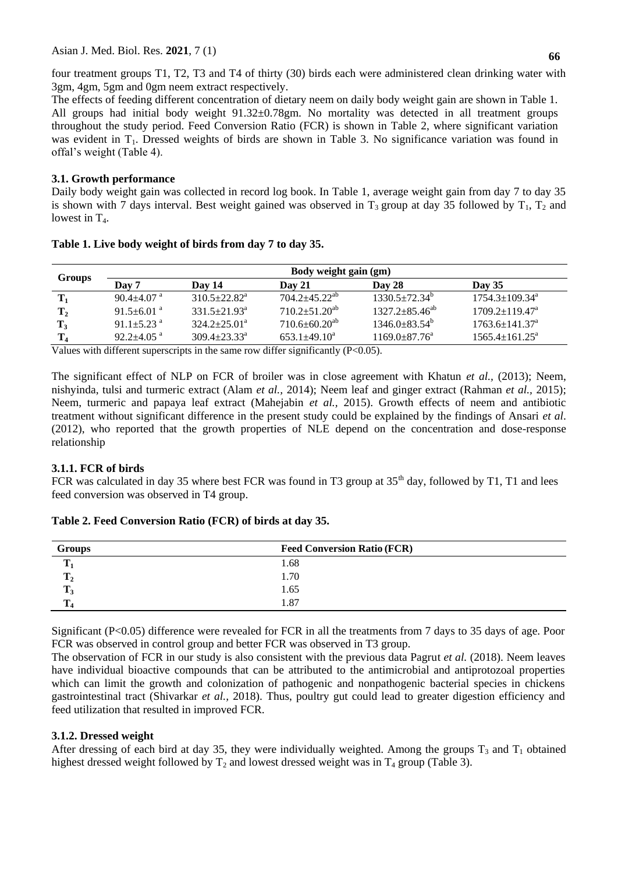four treatment groups T1, T2, T3 and T4 of thirty (30) birds each were administered clean drinking water with 3gm, 4gm, 5gm and 0gm neem extract respectively.

The effects of feeding different concentration of dietary neem on daily body weight gain are shown in Table 1. All groups had initial body weight 91.32±0.78gm. No mortality was detected in all treatment groups throughout the study period. Feed Conversion Ratio (FCR) is shown in Table 2, where significant variation was evident in T<sub>1</sub>. Dressed weights of birds are shown in Table 3. No significance variation was found in offal's weight (Table 4).

## **3.1. Growth performance**

Daily body weight gain was collected in record log book. In Table 1, average weight gain from day 7 to day 35 is shown with 7 days interval. Best weight gained was observed in  $T_3$  group at day 35 followed by  $T_1$ ,  $T_2$  and lowest in  $T_4$ .

|                | Body weight gain (gm)        |                              |                                                                                                                                                                                                                                                                                                                                                                                                                                                                                       |                       |                                |  |  |
|----------------|------------------------------|------------------------------|---------------------------------------------------------------------------------------------------------------------------------------------------------------------------------------------------------------------------------------------------------------------------------------------------------------------------------------------------------------------------------------------------------------------------------------------------------------------------------------|-----------------------|--------------------------------|--|--|
| Groups         | Day 7                        | Day 14                       | $\bf{D}$ av 21                                                                                                                                                                                                                                                                                                                                                                                                                                                                        | Day 28                | Day $35$                       |  |  |
| $\mathbf{T}_1$ | $90.4 \pm 4.07$ <sup>a</sup> | $310.5 \pm 22.82^{\text{a}}$ | $704.2 + 45.22^{ab}$                                                                                                                                                                                                                                                                                                                                                                                                                                                                  | $1330.5 \pm 72.34^b$  | $1754.3 \pm 109.34^{\text{a}}$ |  |  |
| $\mathbf{T}_2$ | $91.5 \pm 6.01$ <sup>a</sup> | $331.5 \pm 21.93^{\text{a}}$ | $710.2 + 51.20^{ab}$                                                                                                                                                                                                                                                                                                                                                                                                                                                                  | $1327.2 + 85.46^{ab}$ | $1709.2 \pm 119.47^{\text{a}}$ |  |  |
| $\mathbf{T}_3$ | 91.1+5.23 $a$                | $324.2+25.01^a$              | $710.6 \pm 60.20^{ab}$                                                                                                                                                                                                                                                                                                                                                                                                                                                                | $1346.0 + 83.54^b$    | $1763.6 \pm 141.37^{\text{a}}$ |  |  |
| $\mathbf{T}_4$ | $92.2 + 4.05$ <sup>a</sup>   | $309.4 \pm 23.33^{\circ}$    | $653.1 + 49.10^a$                                                                                                                                                                                                                                                                                                                                                                                                                                                                     | $1169.0+87.76^a$      | $1565.4 \pm 161.25^{\text{a}}$ |  |  |
| <b>TT</b> 1    | $1.1 - 1.00$                 | .                            | $\mathbf{1} \cdot \mathbf{c} \cdot \mathbf{c} \cdot \mathbf{c} \cdot \mathbf{c} \cdot \mathbf{c} \cdot \mathbf{c} \cdot \mathbf{c} \cdot \mathbf{c} \cdot \mathbf{c} \cdot \mathbf{c} \cdot \mathbf{c} \cdot \mathbf{c} \cdot \mathbf{c} \cdot \mathbf{c} \cdot \mathbf{c} \cdot \mathbf{c} \cdot \mathbf{c} \cdot \mathbf{c} \cdot \mathbf{c} \cdot \mathbf{c} \cdot \mathbf{c} \cdot \mathbf{c} \cdot \mathbf{c} \cdot \mathbf{c} \cdot \mathbf{c} \cdot \mathbf{c} \cdot \mathbf{$ |                       |                                |  |  |

## **Table 1. Live body weight of birds from day 7 to day 35.**

Values with different superscripts in the same row differ significantly (P<0.05).

The significant effect of NLP on FCR of broiler was in close agreement with Khatun *et al.,* (2013); Neem, nishyinda, tulsi and turmeric extract (Alam *et al.,* 2014); Neem leaf and ginger extract (Rahman *et al.,* 2015); Neem, turmeric and papaya leaf extract (Mahejabin *et al.,* 2015). Growth effects of neem and antibiotic treatment without significant difference in the present study could be explained by the findings of Ansari *et al*. (2012), who reported that the growth properties of NLE depend on the concentration and dose-response relationship

## **3.1.1. FCR of birds**

FCR was calculated in day 35 where best FCR was found in T3 group at  $35<sup>th</sup>$  day, followed by T1, T1 and lees feed conversion was observed in T4 group.

| Groups | <b>Feed Conversion Ratio (FCR)</b> |
|--------|------------------------------------|
| m      | 1.68                               |
| -42    | 1.70                               |
|        | 1.65                               |
|        | 1.87                               |

## **Table 2. Feed Conversion Ratio (FCR) of birds at day 35.**

Significant (P<0.05) difference were revealed for FCR in all the treatments from 7 days to 35 days of age. Poor FCR was observed in control group and better FCR was observed in T3 group.

The observation of FCR in our study is also consistent with the previous data Pagrut *et al.* (2018). Neem leaves have individual bioactive compounds that can be attributed to the antimicrobial and antiprotozoal properties which can limit the growth and colonization of pathogenic and nonpathogenic bacterial species in chickens gastrointestinal tract (Shivarkar *et al.,* 2018). Thus, poultry gut could lead to greater digestion efficiency and feed utilization that resulted in improved FCR.

# **3.1.2. Dressed weight**

After dressing of each bird at day 35, they were individually weighted. Among the groups  $T_3$  and  $T_1$  obtained highest dressed weight followed by  $T_2$  and lowest dressed weight was in  $T_4$  group (Table 3).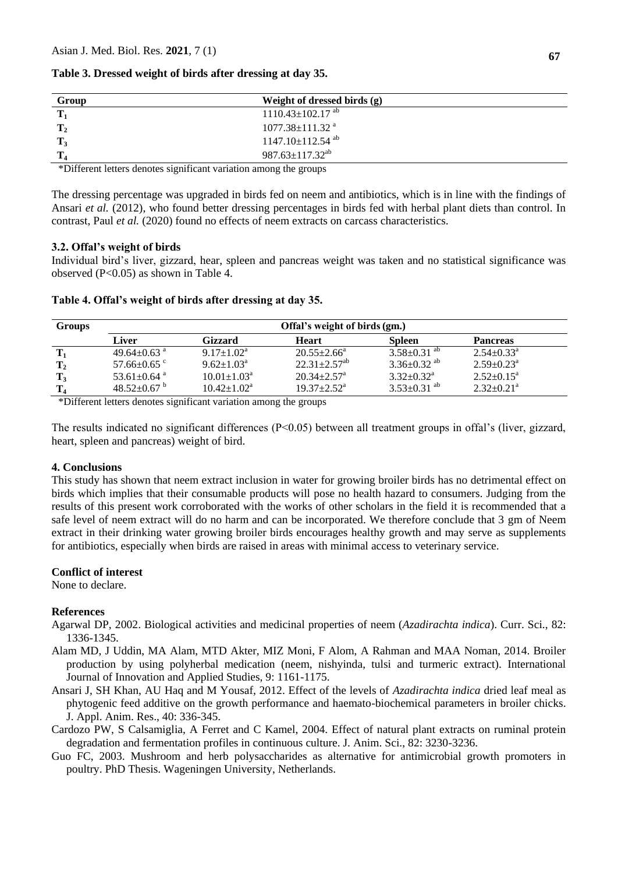## **Table 3. Dressed weight of birds after dressing at day 35.**

| Group | Weight of dressed birds (g)        |  |
|-------|------------------------------------|--|
|       | $1110.43 \pm 102.17$ <sup>ab</sup> |  |
|       | $1077.38 \pm 111.32$ <sup>a</sup>  |  |
|       | $1147.10 \pm 112.54$ <sup>ab</sup> |  |
|       | 987.63 $\pm$ 117.32 <sup>ab</sup>  |  |

\*Different letters denotes significant variation among the groups

The dressing percentage was upgraded in birds fed on neem and antibiotics, which is in line with the findings of Ansari *et al.* (2012), who found better dressing percentages in birds fed with herbal plant diets than control. In contrast, Paul *et al.* (2020) found no effects of neem extracts on carcass characteristics.

#### **3.2. Offal's weight of birds**

Individual bird's liver, gizzard, hear, spleen and pancreas weight was taken and no statistical significance was observed (P<0.05) as shown in Table 4.

| <b>Groups</b> | Offal's weight of birds (gm.) |                             |                              |                               |                              |  |  |
|---------------|-------------------------------|-----------------------------|------------------------------|-------------------------------|------------------------------|--|--|
|               | Liver                         | Gizzard                     | <b>Heart</b>                 | <b>Spleen</b>                 | <b>Pancreas</b>              |  |  |
|               | $49.64 \pm 0.63$ <sup>a</sup> | $9.17 \pm 1.02^a$           | $20.55 \pm 2.66^{\circ}$     | $3.58 \pm 0.31$ ab            | $2.54 \pm 0.33$ <sup>a</sup> |  |  |
|               | $57.66 \pm 0.65$ c            | $9.62 \pm 1.03^{\text{a}}$  | $22.31 + 2.57$ <sup>ab</sup> | 3.36 $\pm$ 0.32 <sup>ab</sup> | $2.59 + 0.23^a$              |  |  |
|               | 53.61 $\pm$ 0.64 $^{\circ}$   | $10.01 \pm 1.03^{\text{a}}$ | $20.34 + 2.57$ <sup>a</sup>  | $3.32+0.32^a$                 | $2.52+0.15^a$                |  |  |
|               | 48.52 $\pm$ 0.67 $^{\circ}$   | $10.42 \pm 1.02^a$          | $19.37 + 2.52^a$             | $3.53 \pm 0.31$ ab            | $2.32 \pm 0.21$ <sup>a</sup> |  |  |

\*Different letters denotes significant variation among the groups

The results indicated no significant differences  $(P<0.05)$  between all treatment groups in offal's (liver, gizzard, heart, spleen and pancreas) weight of bird.

#### **4. Conclusions**

This study has shown that neem extract inclusion in water for growing broiler birds has no detrimental effect on birds which implies that their consumable products will pose no health hazard to consumers. Judging from the results of this present work corroborated with the works of other scholars in the field it is recommended that a safe level of neem extract will do no harm and can be incorporated. We therefore conclude that 3 gm of Neem extract in their drinking water growing broiler birds encourages healthy growth and may serve as supplements for antibiotics, especially when birds are raised in areas with minimal access to veterinary service.

## **Conflict of interest**

None to declare.

## **References**

- Agarwal DP, 2002. Biological activities and medicinal properties of neem (*Azadirachta indica*). Curr. Sci., 82: 1336-1345.
- Alam MD, J Uddin, MA Alam, MTD Akter, MIZ Moni, F Alom, A Rahman and MAA Noman, 2014. Broiler production by using polyherbal medication (neem, nishyinda, tulsi and turmeric extract). International Journal of Innovation and Applied Studies, 9: 1161-1175.
- Ansari J, SH Khan, AU Haq and M Yousaf, 2012. Effect of the levels of *Azadirachta indica* dried leaf meal as phytogenic feed additive on the growth performance and haemato-biochemical parameters in broiler chicks. J. Appl. Anim. Res., 40: 336-345.
- Cardozo PW, S Calsamiglia, A Ferret and C Kamel, 2004. Effect of natural plant extracts on ruminal protein degradation and fermentation profiles in continuous culture. J. Anim. Sci., 82: 3230-3236.
- Guo FC, 2003. Mushroom and herb polysaccharides as alternative for antimicrobial growth promoters in poultry. PhD Thesis. Wageningen University, Netherlands.